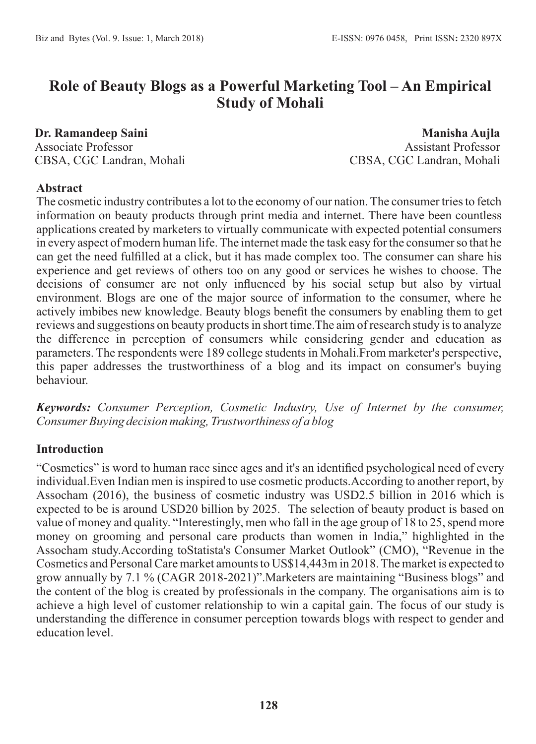# **Role of Beauty Blogs as a Powerful Marketing Tool – An Empirical Study of Mohali**

**Dr. Ramandeep Saini** Associate Professor CBSA, CGC Landran, Mohali

**Manisha Aujla** Assistant Professor CBSA, CGC Landran, Mohali

### **Abstract**

The cosmetic industry contributes a lot to the economy of our nation. The consumer tries to fetch information on beauty products through print media and internet. There have been countless applications created by marketers to virtually communicate with expected potential consumers in every aspect of modern human life. The internet made the task easy for the consumer so that he can get the need fulfilled at a click, but it has made complex too. The consumer can share his experience and get reviews of others too on any good or services he wishes to choose. The decisions of consumer are not only influenced by his social setup but also by virtual environment. Blogs are one of the major source of information to the consumer, where he actively imbibes new knowledge. Beauty blogs benefit the consumers by enabling them to get reviews and suggestions on beauty products in short time.The aim of research study is to analyze the difference in perception of consumers while considering gender and education as parameters. The respondents were 189 college students in Mohali.From marketer's perspective, this paper addresses the trustworthiness of a blog and its impact on consumer's buying behaviour.

*Keywords: Consumer Perception, Cosmetic Industry, Use of Internet by the consumer, Consumer Buying decision making, Trustworthiness of a blog*

# **Introduction**

"Cosmetics" is word to human race since ages and it's an identified psychological need of every individual.Even Indian men is inspired to use cosmetic products.According to another report, by Assocham (2016), the business of cosmetic industry was USD2.5 billion in 2016 which is expected to be is around USD20 billion by 2025. The selection of beauty product is based on value of money and quality. "Interestingly, men who fall in the age group of 18 to 25, spend more money on grooming and personal care products than women in India," highlighted in the Assocham study.According toStatista's Consumer Market Outlook" (CMO), "Revenue in the Cosmetics and Personal Care market amounts to US\$14,443m in 2018. The market is expected to grow annually by 7.1 % (CAGR 2018-2021)".Marketers are maintaining "Business blogs" and the content of the blog is created by professionals in the company. The organisations aim is to achieve a high level of customer relationship to win a capital gain. The focus of our study is understanding the difference in consumer perception towards blogs with respect to gender and education level.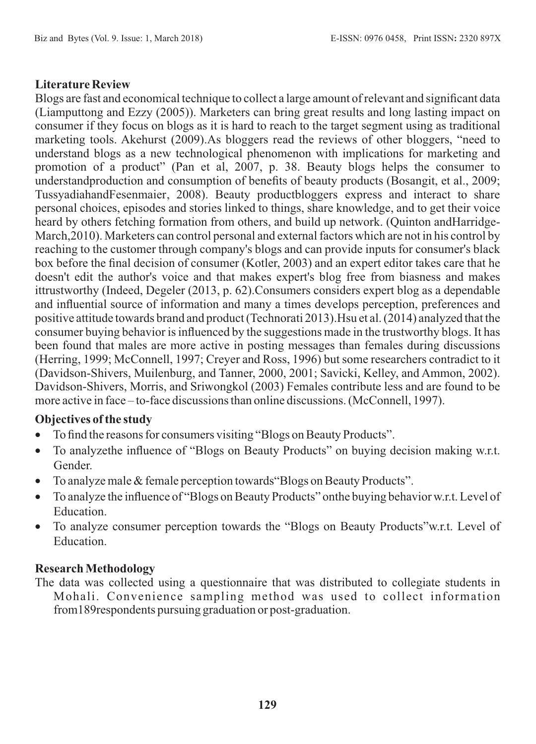#### **Literature Review**

Blogs are fast and economical technique to collect a large amount of relevant and significant data (Liamputtong and Ezzy (2005)). Marketers can bring great results and long lasting impact on consumer if they focus on blogs as it is hard to reach to the target segment using as traditional marketing tools. Akehurst (2009).As bloggers read the reviews of other bloggers, "need to understand blogs as a new technological phenomenon with implications for marketing and promotion of a product" (Pan et al, 2007, p. 38. Beauty blogs helps the consumer to understandproduction and consumption of benefits of beauty products (Bosangit, et al., 2009; TussyadiahandFesenmaier, 2008). Beauty productbloggers express and interact to share personal choices, episodes and stories linked to things, share knowledge, and to get their voice heard by others fetching formation from others, and build up network. (Quinton andHarridge-March,2010). Marketers can control personal and external factors which are not in his control by reaching to the customer through company's blogs and can provide inputs for consumer's black box before the final decision of consumer (Kotler, 2003) and an expert editor takes care that he doesn't edit the author's voice and that makes expert's blog free from biasness and makes ittrustworthy (Indeed, Degeler (2013, p. 62).Consumers considers expert blog as a dependable and influential source of information and many a times develops perception, preferences and positive attitude towards brand and product (Technorati 2013).Hsu et al. (2014) analyzed that the consumer buying behavior is influenced by the suggestions made in the trustworthy blogs. It has been found that males are more active in posting messages than females during discussions (Herring, 1999; McConnell, 1997; Creyer and Ross, 1996) but some researchers contradict to it (Davidson-Shivers, Muilenburg, and Tanner, 2000, 2001; Savicki, Kelley, and Ammon, 2002). Davidson-Shivers, Morris, and Sriwongkol (2003) Females contribute less and are found to be more active in face – to-face discussions than online discussions. (McConnell, 1997).

# **Objectives of the study**

- · To find the reasons for consumers visiting "Blogs on Beauty Products".
- To analyzethe influence of "Blogs on Beauty Products" on buying decision making w.r.t. Gender.
- · To analyze male & female perception towards"Blogs on Beauty Products".
- · To analyze the influence of "Blogs on Beauty Products" onthe buying behavior w.r.t. Level of **Education**
- · To analyze consumer perception towards the "Blogs on Beauty Products"w.r.t. Level of Education.

#### **Research Methodology**

The data was collected using a questionnaire that was distributed to collegiate students in Mohali. Convenience sampling method was used to collect information from189respondents pursuing graduation or post-graduation.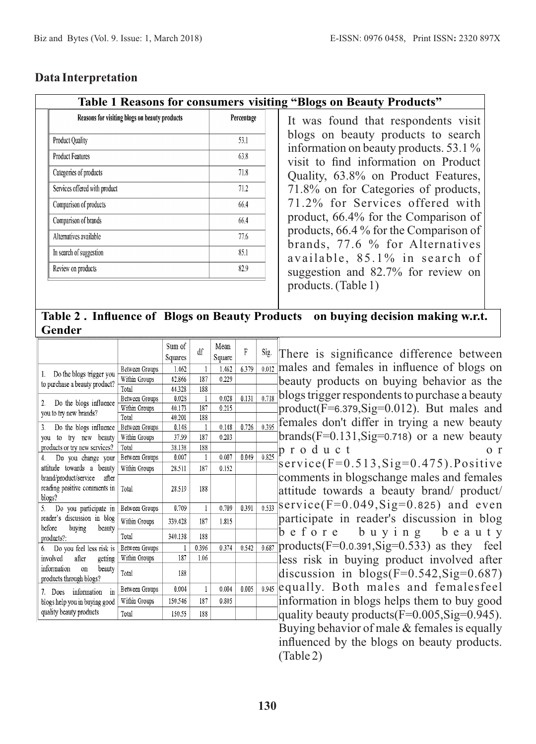# **Data Interpretation**

#### **Table 1 Reasons for consumers visiting "Blogs on Beauty Products"**

| Reasons for visiting blogs on beauty products | Percentage |
|-----------------------------------------------|------------|
| <b>Product Quality</b>                        | 53.1       |
| <b>Product Features</b>                       | 63.8       |
| Categories of products                        | 71.8       |
| Services offered with product                 | 71.2       |
| Comparison of products                        | 66.4       |
| Comparison of brands                          | 66.4       |
| Alternatives available                        | 77.6       |
| In search of suggestion                       | 85.1       |
| Review on products                            | 82.9       |

It was found that respondents visit blogs on beauty products to search information on beauty products. 53.1 % visit to find information on Product Quality, 63.8% on Product Features, 71.8% on for Categories of products, 71.2% for Services offered with product, 66.4% for the Comparison of products, 66.4 % for the Comparison of brands, 77.6 % for Alternatives available, 85.1% in search of suggestion and 82.7% for review on products. (Table 1)

**Table 2 . Influence of Blogs on Beauty Products on buying decision making w.r.t. Gender**

|                                                        |                       | Sum of<br>Squares | df    | Mean<br>Square | F     | Sig.  | There<br><sup>is</sup> |
|--------------------------------------------------------|-----------------------|-------------------|-------|----------------|-------|-------|------------------------|
|                                                        | Between Groups        | 1.462             | 1     | 1.462          | 6.379 | 0.012 | males and              |
| Do the blogs trigger you<br>1.                         | Within Groups         | 42.866            | 187   | 0.229          |       |       |                        |
| to purchase a beauty product?                          | Total                 | 44.328            | 188   |                |       |       | beauty pro             |
| 2.                                                     | Between Groups        | 0.028             |       | 0.028          | 0.131 | 0.718 | blogs trigg            |
| Do the blogs influence<br>you to try new brands?       | Within Groups         | 40.173            | 187   | 0.215          |       |       | product(F)             |
|                                                        | Total                 | 40.201            | 188   |                |       |       | females d              |
| Do the blogs influence<br>3.                           | <b>Between Groups</b> | 0.148             |       | 0.148          | 0.726 | 0.395 |                        |
| you to try new beauty                                  | Within Groups         | 37.99             | 187   | 0.203          |       |       | $brands(F =$           |
| products or try new services?                          | Total                 | 38.138            | 188   |                |       |       | produ                  |
| Do you change your<br>4.                               | Between Groups        | 0.007             | ŧ     | 0.007          | 0.049 | 0.825 |                        |
| attitude towards a beauty                              | Within Groups         | 28.511            | 187   | 0.152          |       |       | service(1              |
| brand/product/service<br>after                         |                       |                   |       |                |       |       | comments               |
| reading positive comments in                           | Total                 | 28.519            | 188   |                |       |       | attitude to            |
| blogs?                                                 |                       |                   |       |                | 0.391 | 0.533 | service(I              |
| Do you participate in<br>5.                            | Between Groups        | 0.709             | 1     | 0.709          |       |       |                        |
| reader's discussion in blog<br>hefore                  | Within Groups         | 339.428           | 187   | 1.815          |       |       | participate            |
| buving<br>beauty<br>products?:                         | Total                 | 340.138           | 188   |                |       |       | befor                  |
| Do you feel less risk is<br>6.                         | Between Groups        | ı                 | 0.396 | 0.374          | 0.542 | 0.687 | products(I             |
| after<br>involved<br>getting                           | Within Groups         | 187               | 1.06  |                |       |       | less risk              |
| information<br>beauty<br>on<br>products through blogs? | Total                 | 188               |       |                |       |       | discussio              |
| information<br>in<br>Does<br>7.                        | Between Groups        | 0.004             | 1     | 0.004          | 0.005 | 0.945 | equally.               |
| blogs help you in buying good                          | Within Groups         | 150.546           | 187   | 0.805          |       |       | informatic             |
| quality beauty products                                | Total                 | 150.55            | 188   |                |       |       | quality be:            |
|                                                        |                       |                   |       |                |       |       |                        |

significance difference between females in influence of blogs on oducts on buying behavior as the ger respondents to purchase a beauty  $=6.379$ ,  $\text{Sig}=0.012$ ). But males and on't differ in trying a new beauty  $E(0.131, Sig=0.718)$  or a new beauty p r o d u c t o r  $F=0.513$ ,  $Sig=0.475$ ). Positive in blogschange males and females owards a beauty brand/ product/  $F=0.049$ ,  $Sig=0.825$ ) and even e in reader's discussion in blog e buying beauty  $F=0.0.391$ ,  $Sig=0.533$  as they feel in buying product involved after n in blogs(F=0.542,Sig=0.687) Both males and femalesfeel on in blogs helps them to buy good auty products $(F=0.005, Sig=0.945)$ . Buying behavior of male & females is equally influenced by the blogs on beauty products. (Table 2)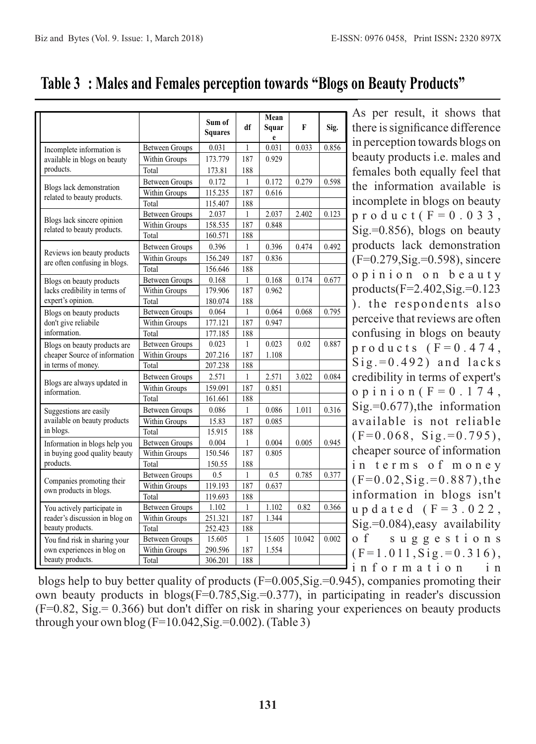|                                                     |                       | Sum of<br><b>Squares</b> | df           | Mean<br>Squar<br>e | F      | Sig.  |
|-----------------------------------------------------|-----------------------|--------------------------|--------------|--------------------|--------|-------|
| Incomplete information is                           | <b>Between Groups</b> | 0.031                    | $\mathbf{1}$ | 0.031              | 0.033  | 0.856 |
| available in blogs on beauty                        | Within Groups         | 173.779                  | 187          | 0.929              |        |       |
| products.                                           | Total                 | 173.81                   | 188          |                    |        |       |
|                                                     | <b>Between Groups</b> | 0.172                    | $\mathbf{1}$ | 0.172              | 0.279  | 0.598 |
| Blogs lack demonstration                            | Within Groups         | 115.235                  | 187          | 0.616              |        |       |
| related to beauty products.                         | Total                 | 115.407                  | 188          |                    |        |       |
|                                                     | <b>Between Groups</b> | 2.037                    | 1            | 2.037              | 2.402  | 0.123 |
| Blogs lack sincere opinion                          | Within Groups         | 158.535                  | 187          | 0.848              |        |       |
| related to beauty products.                         | Total                 | 160.571                  | 188          |                    |        |       |
|                                                     | <b>Between Groups</b> | 0.396                    | 1            | 0.396              | 0.474  | 0.492 |
| Reviews ion beauty products                         | Within Groups         | 156.249                  | 187          | 0.836              |        |       |
| are often confusing in blogs.                       | Total                 | 156.646                  | 188          |                    |        |       |
| Blogs on beauty products                            | <b>Between Groups</b> | 0.168                    | $\mathbf{1}$ | 0.168              | 0.174  | 0.677 |
| lacks credibility in terms of                       | Within Groups         | 179.906                  | 187          | 0.962              |        |       |
| expert's opinion.                                   | Total                 | 180.074                  | 188          |                    |        |       |
| Blogs on beauty products                            | Between Groups        | 0.064                    | $\mathbf{1}$ | 0.064              | 0.068  | 0.795 |
| don't give reliabile                                | Within Groups         | 177.121                  | 187          | 0.947              |        |       |
| information.                                        | Total                 | 177.185                  | 188          |                    |        |       |
| Blogs on beauty products are                        | <b>Between Groups</b> | 0.023                    | $\mathbf{1}$ | 0.023              | 0.02   | 0.887 |
| cheaper Source of information<br>in terms of money. | Within Groups         | 207.216                  | 187          | 1.108              |        |       |
|                                                     | Total                 | 207.238                  | 188          |                    |        |       |
|                                                     | <b>Between Groups</b> | 2.571                    | 1            | 2.571              | 3.022  | 0.084 |
| Blogs are always updated in                         | Within Groups         | 159.091                  | 187          | 0.851              |        |       |
| information.                                        | Total                 | 161.661                  | 188          |                    |        |       |
| Suggestions are easily                              | <b>Between Groups</b> | 0.086                    | 1            | 0.086              | 1.011  | 0.316 |
| available on beauty products                        | Within Groups         | 15.83                    | 187          | 0.085              |        |       |
| in blogs.                                           | Total                 | 15.915                   | 188          |                    |        |       |
| Information in blogs help you                       | <b>Between Groups</b> | 0.004                    | 1            | 0.004              | 0.005  | 0.945 |
| in buying good quality beauty                       | Within Groups         | 150.546                  | 187          | 0.805              |        |       |
| products.                                           | Total                 | 150.55                   | 188          |                    |        |       |
|                                                     | <b>Between Groups</b> | 0.5                      | $\mathbf{1}$ | 0.5                | 0.785  | 0.377 |
| Companies promoting their                           | Within Groups         | 119.193                  | 187          | 0.637              |        |       |
| own products in blogs.                              | Total                 | 119.693                  | 188          |                    |        |       |
| You actively participate in                         | <b>Between Groups</b> | 1.102                    | 1            | 1.102              | 0.82   | 0.366 |
| reader's discussion in blog on                      | Within Groups         | 251.321                  | 187          | 1.344              |        |       |
| beauty products.                                    | Total                 | 252.423                  | 188          |                    |        |       |
| You find risk in sharing your                       | <b>Between Groups</b> | 15.605                   | 1            | 15.605             | 10.042 | 0.002 |
| own experiences in blog on                          | Within Groups         | 290.596                  | 187          | 1.554              |        |       |
| beauty products.                                    | Total                 | 306.201                  | 188          |                    |        |       |

**Table 3 : Males and Females perception towards "Blogs on Beauty Products"**

As per result, it shows that there is significance difference in perception towards blogs on beauty products i.e. males and females both equally feel that the information available is incomplete in blogs on beauty  $p r o d u c t$  ( $F = 0.033$ , Sig.=0.856), blogs on beauty products lack demonstration (F=0.279,Sig.=0.598), sincere o p i n i o n o n b e a u t y products( $F=2.402$ ,  $Sig=0.123$ ), the respondents also perceive that reviews are often confusing in blogs on beauty  $p r o d u c t s$  ( $F = 0.474$ ,  $Sig = 0.492$ ) and lacks credibility in terms of expert's o p i n i o n  $(F = 0.174$ , Sig.=0.677),the information available is not reliable  $(F=0.068, Sig = 0.795),$ cheaper source of information in terms of money  $(F=0.02, Sig. = 0.887)$ , the information in blogs isn't u p d a t e d ( $F = 3.022$ , Sig.=0.084),easy availability o f s u g g e s t i o n s  $(F=1.011, Sig. = 0.316),$ information

blogs help to buy better quality of products (F=0.005,Sig.=0.945), companies promoting their own beauty products in blogs(F=0.785,Sig.=0.377), in participating in reader's discussion (F=0.82, Sig.= 0.366) but don't differ on risk in sharing your experiences on beauty products through your own blog  $(F=10.042, Sig = 0.002)$ . (Table 3)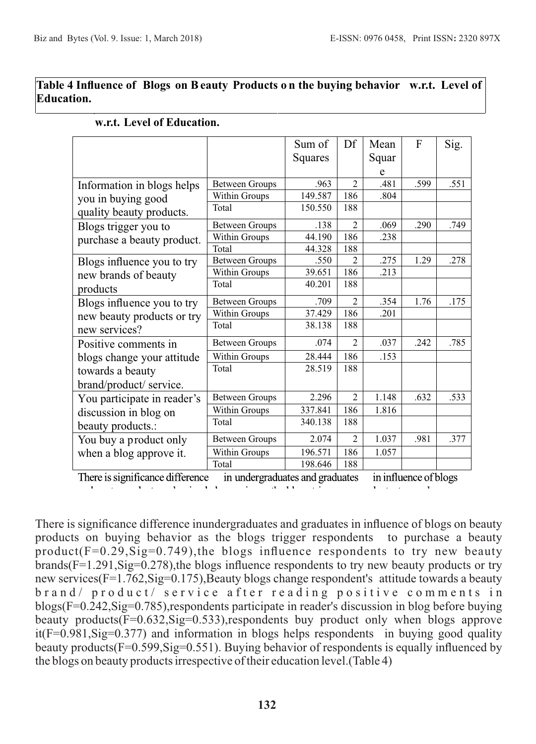#### **Table 4 Influence of Blogs on Beauty Products o n the buying behavior w.r.t. Level of Education.**

|                             |                       | Sum of  | Df                       | Mean  | F    | Sig. |
|-----------------------------|-----------------------|---------|--------------------------|-------|------|------|
|                             |                       | Squares |                          | Squar |      |      |
|                             |                       |         |                          | e     |      |      |
| Information in blogs helps  | <b>Between Groups</b> | .963    | $\overline{\mathcal{L}}$ | .481  | .599 | .551 |
| you in buying good          | Within Groups         | 149.587 | 186                      | .804  |      |      |
| quality beauty products.    | Total                 | 150.550 | 188                      |       |      |      |
| Blogs trigger you to        | <b>Between Groups</b> | .138    | $\overline{2}$           | .069  | .290 | .749 |
| purchase a beauty product.  | Within Groups         | 44.190  | 186                      | .238  |      |      |
|                             | Total                 | 44.328  | 188                      |       |      |      |
| Blogs influence you to try  | <b>Between Groups</b> | .550    | $\mathfrak{D}$           | .275  | 1.29 | .278 |
| new brands of beauty        | Within Groups         | 39.651  | 186                      | .213  |      |      |
| products                    | Total                 | 40.201  | 188                      |       |      |      |
| Blogs influence you to try  | <b>Between Groups</b> | .709    | $\overline{2}$           | .354  | 1.76 | .175 |
| new beauty products or try  | Within Groups         | 37.429  | 186                      | .201  |      |      |
| new services?               | Total                 | 38.138  | 188                      |       |      |      |
| Positive comments in        | <b>Between Groups</b> | .074    | $\overline{\mathcal{L}}$ | .037  | .242 | .785 |
| blogs change your attitude  | Within Groups         | 28.444  | 186                      | .153  |      |      |
| towards a beauty            | Total                 | 28.519  | 188                      |       |      |      |
| brand/product/ service.     |                       |         |                          |       |      |      |
| You participate in reader's | <b>Between Groups</b> | 2.296   | $\overline{\mathcal{L}}$ | 1.148 | .632 | .533 |
| discussion in blog on       | Within Groups         | 337.841 | 186                      | 1.816 |      |      |
| beauty products.:           | Total                 | 340.138 | 188                      |       |      |      |
| You buy a product only      | <b>Between Groups</b> | 2.074   | $\overline{2}$           | 1.037 | .981 | .377 |
| when a blog approve it.     | Within Groups         | 196.571 | 186                      | 1.057 |      |      |
|                             | Total                 | 198.646 | 188                      |       |      |      |

#### **w.r.t. Level of Education.**

There is significance difference in undergraduates and graduates in influence of blogs

There is significance difference inundergraduates and graduates in influence of blogs on beauty products on buying behavior as the blogs trigger respondents to purchase a beauty product( $F=0.29$ ,  $Sig=0.749$ ), the blogs influence respondents to try new beauty brands(F=1.291,Sig=0.278),the blogs influence respondents to try new beauty products or try new services(F=1.762,Sig=0.175),Beauty blogs change respondent's attitude towards a beauty brand/ product/ service after reading positive comments in blogs(F=0.242,Sig=0.785),respondents participate in reader's discussion in blog before buying beauty products(F=0.632,Sig=0.533),respondents buy product only when blogs approve it(F=0.981,Sig=0.377) and information in blogs helps respondents in buying good quality beauty products(F=0.599,Sig=0.551). Buying behavior of respondents is equally influenced by the blogs on beauty products irrespective of their education level.(Table 4)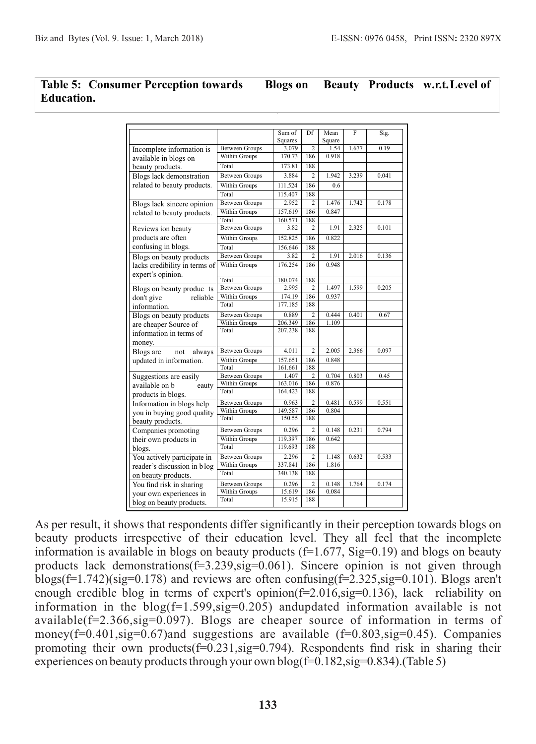#### **Table 5: Consumer Perception towards Blogs on Beauty Products w.r.t.Level of Education.**

|                               |                       | Sum of  | Df             | Mean   | $\overline{F}$ | Sig.  |
|-------------------------------|-----------------------|---------|----------------|--------|----------------|-------|
|                               |                       | Squares |                | Square |                |       |
| Incomplete information is     | <b>Between Groups</b> | 3.079   | $\overline{2}$ | 1.54   | 1.677          | 0.19  |
| available in blogs on         | Within Groups         | 170.73  | 186            | 0.918  |                |       |
| beauty products.              | Total                 | 173.81  | 188            |        |                |       |
| Blogs lack demonstration      | <b>Between Groups</b> | 3.884   | $\overline{c}$ | 1.942  | 3.239          | 0.041 |
| related to beauty products.   | Within Groups         | 111.524 | 186            | 0.6    |                |       |
|                               | Total                 | 115.407 | 188            |        |                |       |
| Blogs lack sincere opinion    | <b>Between Groups</b> | 2.952   | 2              | 1.476  | 1.742          | 0.178 |
| related to beauty products.   | Within Groups         | 157.619 | 186            | 0.847  |                |       |
|                               | Total                 | 160.571 | 188            |        |                |       |
| Reviews ion beauty            | <b>Between Groups</b> | 3.82    | 2              | 1.91   | 2.325          | 0.101 |
| products are often            | Within Groups         | 152.825 | 186            | 0.822  |                |       |
| confusing in blogs.           | Total                 | 156.646 | 188            |        |                |       |
| Blogs on beauty products      | <b>Between Groups</b> | 3.82    | 2              | 1.91   | 2.016          | 0.136 |
| lacks credibility in terms of | Within Groups         | 176.254 | 186            | 0.948  |                |       |
| expert's opinion.             |                       |         |                |        |                |       |
|                               | Total                 | 180.074 | 188            |        |                |       |
| Blogs on beauty produc ts     | <b>Between Groups</b> | 2.995   | $\overline{c}$ | 1.497  | 1.599          | 0.205 |
| don't give<br>reliable        | Within Groups         | 174.19  | 186            | 0.937  |                |       |
| information.                  | Total                 | 177.185 | 188            |        |                |       |
| Blogs on beauty products      | <b>Between Groups</b> | 0.889   | 2              | 0.444  | 0.401          | 0.67  |
| are cheaper Source of         | Within Groups         | 206.349 | 186            | 1.109  |                |       |
| information in terms of       | Total                 | 207.238 | 188            |        |                |       |
| money.                        |                       |         |                |        |                |       |
| Blogs are<br>not<br>always    | <b>Between Groups</b> | 4.011   | 2              | 2.005  | 2.366          | 0.097 |
| updated in information.       | Within Groups         | 157.651 | 186            | 0.848  |                |       |
|                               | Total                 | 161.661 | 188            |        |                |       |
| Suggestions are easily        | <b>Between Groups</b> | 1.407   | 2              | 0.704  | 0.803          | 0.45  |
| available on b<br>eauty       | Within Groups         | 163.016 | 186            | 0.876  |                |       |
| products in blogs.            | Total                 | 164.423 | 188            |        |                |       |
| Information in blogs help     | <b>Between Groups</b> | 0.963   | $\overline{2}$ | 0.481  | 0.599          | 0.551 |
| you in buying good quality    | Within Groups         | 149.587 | 186            | 0.804  |                |       |
| beauty products.              | Total                 | 150.55  | 188            |        |                |       |
| Companies promoting           | <b>Between Groups</b> | 0.296   | $\overline{2}$ | 0.148  | 0.231          | 0.794 |
| their own products in         | Within Groups         | 119.397 | 186            | 0.642  |                |       |
| blogs.                        | Total                 | 119.693 | 188            |        |                |       |
| You actively participate in   | <b>Between Groups</b> | 2.296   | $\overline{c}$ | 1.148  | 0.632          | 0.533 |
| reader's discussion in blog   | Within Groups         | 337.841 | 186            | 1.816  |                |       |
| on beauty products.           | Total                 | 340.138 | 188            |        |                |       |
| You find risk in sharing      | <b>Between Groups</b> | 0.296   | $\overline{2}$ | 0.148  | 1.764          | 0.174 |
| your own experiences in       | Within Groups         | 15.619  | 186            | 0.084  |                |       |
| blog on beauty products.      | Total                 | 15.915  | 188            |        |                |       |
|                               |                       |         |                |        |                |       |

As per result, it shows that respondents differ significantly in their perception towards blogs on beauty products irrespective of their education level. They all feel that the incomplete information is available in blogs on beauty products ( $f=1.677$ ,  $Sig=0.19$ ) and blogs on beauty products lack demonstrations(f=3.239,sig=0.061). Sincere opinion is not given through blogs( $f=1.742$ )(sig=0.178) and reviews are often confusing( $f=2.325$ , sig=0.101). Blogs aren't enough credible blog in terms of expert's opinion(f=2.016,sig=0.136), lack reliability on information in the blog( $f=1.599$ ,  $sig=0.205$ ) andupdated information available is not available(f=2.366,sig=0.097). Blogs are cheaper source of information in terms of money( $f=0.401$ ,sig $=0.67$ )and suggestions are available ( $f=0.803$ ,sig $=0.45$ ). Companies promoting their own products(f=0.231,sig=0.794). Respondents find risk in sharing their experiences on beauty products through your own blog( $f=0.182$ ,  $sig=0.834$ ).(Table 5)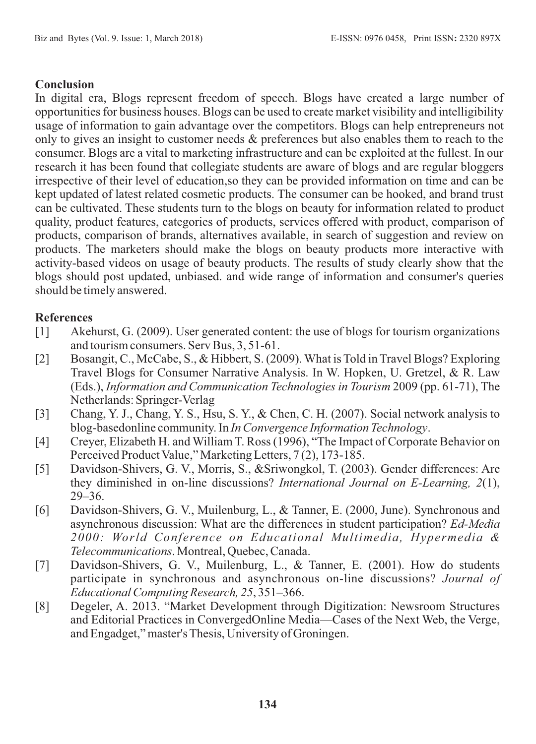# **Conclusion**

In digital era, Blogs represent freedom of speech. Blogs have created a large number of opportunities for business houses. Blogs can be used to create market visibility and intelligibility usage of information to gain advantage over the competitors. Blogs can help entrepreneurs not only to gives an insight to customer needs & preferences but also enables them to reach to the consumer. Blogs are a vital to marketing infrastructure and can be exploited at the fullest. In our research it has been found that collegiate students are aware of blogs and are regular bloggers irrespective of their level of education,so they can be provided information on time and can be kept updated of latest related cosmetic products. The consumer can be hooked, and brand trust can be cultivated. These students turn to the blogs on beauty for information related to product quality, product features, categories of products, services offered with product, comparison of products, comparison of brands, alternatives available, in search of suggestion and review on products. The marketers should make the blogs on beauty products more interactive with activity-based videos on usage of beauty products. The results of study clearly show that the blogs should post updated, unbiased. and wide range of information and consumer's queries should be timely answered.

# **References**

- [1] Akehurst, G. (2009). User generated content: the use of blogs for tourism organizations and tourism consumers. Serv Bus, 3, 51-61.
- [2] Bosangit, C., McCabe, S., & Hibbert, S. (2009). What is Told in Travel Blogs? Exploring Travel Blogs for Consumer Narrative Analysis. In W. Hopken, U. Gretzel, & R. Law (Eds.), *Information and Communication Technologies in Tourism* 2009 (pp. 61-71), The Netherlands: Springer-Verlag
- [3] Chang, Y. J., Chang, Y. S., Hsu, S. Y., & Chen, C. H. (2007). Social network analysis to blog-basedonline community. In *In Convergence Information Technology*.
- [4] Creyer, Elizabeth H. and William T. Ross (1996), "The Impact of Corporate Behavior on Perceived Product Value," Marketing Letters, 7 (2), 173-185.
- [5] Davidson-Shivers, G. V., Morris, S., &Sriwongkol, T. (2003). Gender differences: Are they diminished in on-line discussions? *International Journal on E-Learning, 2*(1), 29–36.
- [6] Davidson-Shivers, G. V., Muilenburg, L., & Tanner, E. (2000, June). Synchronous and asynchronous discussion: What are the differences in student participation? *Ed-Media 2000: World Conference on Educational Multimedia, Hypermedia & Telecommunications*. Montreal, Quebec, Canada.
- [7] Davidson-Shivers, G. V., Muilenburg, L., & Tanner, E. (2001). How do students participate in synchronous and asynchronous on-line discussions? *Journal of Educational Computing Research, 25*, 351–366.
- [8] Degeler, A. 2013. "Market Development through Digitization: Newsroom Structures and Editorial Practices in ConvergedOnline Media—Cases of the Next Web, the Verge, and Engadget," master's Thesis, University of Groningen.